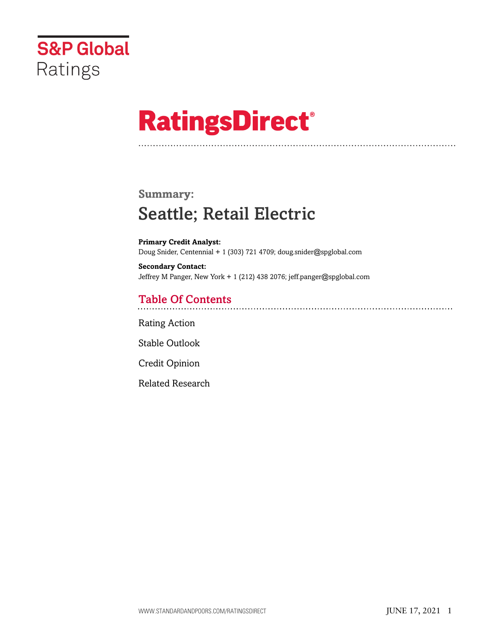

# **RatingsDirect®**

# **Summary:** Seattle; Retail Electric

**Primary Credit Analyst:** Doug Snider, Centennial + 1 (303) 721 4709; doug.snider@spglobal.com

**Secondary Contact:** Jeffrey M Panger, New York + 1 (212) 438 2076; jeff.panger@spglobal.com

# Table Of Contents

[Rating Action](#page-1-0)

[Stable Outlook](#page-2-0)

[Credit Opinion](#page-2-1)

[Related Research](#page-3-0)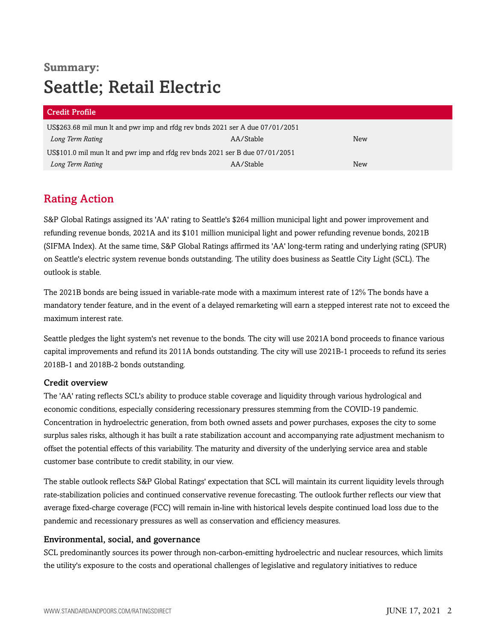# **Summary:** Seattle; Retail Electric

| <b>Credit Profile</b>                                                         |           |     |  |
|-------------------------------------------------------------------------------|-----------|-----|--|
| US\$263.68 mil mun lt and pwr imp and rfdg rev bnds 2021 ser A due 07/01/2051 |           |     |  |
| Long Term Rating                                                              | AA/Stable | New |  |
| US\$101.0 mil mun lt and pwr imp and rfdg rev bnds 2021 ser B due 07/01/2051  |           |     |  |
| Long Term Rating                                                              | AA/Stable | New |  |

# <span id="page-1-0"></span>Rating Action

S&P Global Ratings assigned its 'AA' rating to Seattle's \$264 million municipal light and power improvement and refunding revenue bonds, 2021A and its \$101 million municipal light and power refunding revenue bonds, 2021B (SIFMA Index). At the same time, S&P Global Ratings affirmed its 'AA' long-term rating and underlying rating (SPUR) on Seattle's electric system revenue bonds outstanding. The utility does business as Seattle City Light (SCL). The outlook is stable.

The 2021B bonds are being issued in variable-rate mode with a maximum interest rate of 12% The bonds have a mandatory tender feature, and in the event of a delayed remarketing will earn a stepped interest rate not to exceed the maximum interest rate.

Seattle pledges the light system's net revenue to the bonds. The city will use 2021A bond proceeds to finance various capital improvements and refund its 2011A bonds outstanding. The city will use 2021B-1 proceeds to refund its series 2018B-1 and 2018B-2 bonds outstanding.

#### Credit overview

The 'AA' rating reflects SCL's ability to produce stable coverage and liquidity through various hydrological and economic conditions, especially considering recessionary pressures stemming from the COVID-19 pandemic. Concentration in hydroelectric generation, from both owned assets and power purchases, exposes the city to some surplus sales risks, although it has built a rate stabilization account and accompanying rate adjustment mechanism to offset the potential effects of this variability. The maturity and diversity of the underlying service area and stable customer base contribute to credit stability, in our view.

The stable outlook reflects S&P Global Ratings' expectation that SCL will maintain its current liquidity levels through rate-stabilization policies and continued conservative revenue forecasting. The outlook further reflects our view that average fixed-charge coverage (FCC) will remain in-line with historical levels despite continued load loss due to the pandemic and recessionary pressures as well as conservation and efficiency measures.

#### Environmental, social, and governance

SCL predominantly sources its power through non-carbon-emitting hydroelectric and nuclear resources, which limits the utility's exposure to the costs and operational challenges of legislative and regulatory initiatives to reduce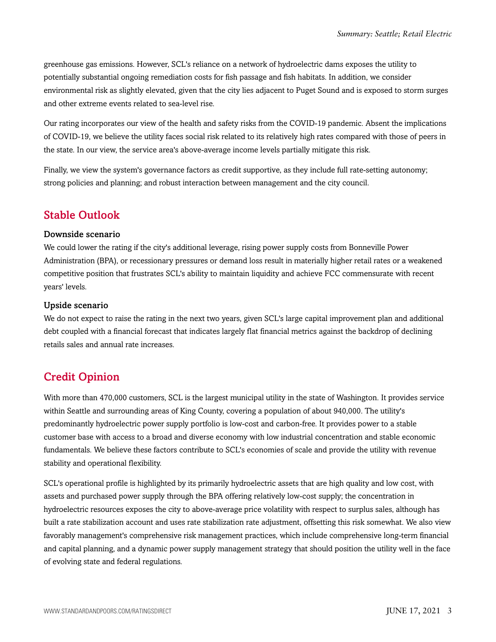greenhouse gas emissions. However, SCL's reliance on a network of hydroelectric dams exposes the utility to potentially substantial ongoing remediation costs for fish passage and fish habitats. In addition, we consider environmental risk as slightly elevated, given that the city lies adjacent to Puget Sound and is exposed to storm surges and other extreme events related to sea-level rise.

Our rating incorporates our view of the health and safety risks from the COVID-19 pandemic. Absent the implications of COVID-19, we believe the utility faces social risk related to its relatively high rates compared with those of peers in the state. In our view, the service area's above-average income levels partially mitigate this risk.

Finally, we view the system's governance factors as credit supportive, as they include full rate-setting autonomy; strong policies and planning; and robust interaction between management and the city council.

### <span id="page-2-0"></span>Stable Outlook

#### Downside scenario

We could lower the rating if the city's additional leverage, rising power supply costs from Bonneville Power Administration (BPA), or recessionary pressures or demand loss result in materially higher retail rates or a weakened competitive position that frustrates SCL's ability to maintain liquidity and achieve FCC commensurate with recent years' levels.

#### Upside scenario

We do not expect to raise the rating in the next two years, given SCL's large capital improvement plan and additional debt coupled with a financial forecast that indicates largely flat financial metrics against the backdrop of declining retails sales and annual rate increases.

## <span id="page-2-1"></span>Credit Opinion

With more than 470,000 customers, SCL is the largest municipal utility in the state of Washington. It provides service within Seattle and surrounding areas of King County, covering a population of about 940,000. The utility's predominantly hydroelectric power supply portfolio is low-cost and carbon-free. It provides power to a stable customer base with access to a broad and diverse economy with low industrial concentration and stable economic fundamentals. We believe these factors contribute to SCL's economies of scale and provide the utility with revenue stability and operational flexibility.

SCL's operational profile is highlighted by its primarily hydroelectric assets that are high quality and low cost, with assets and purchased power supply through the BPA offering relatively low-cost supply; the concentration in hydroelectric resources exposes the city to above-average price volatility with respect to surplus sales, although has built a rate stabilization account and uses rate stabilization rate adjustment, offsetting this risk somewhat. We also view favorably management's comprehensive risk management practices, which include comprehensive long-term financial and capital planning, and a dynamic power supply management strategy that should position the utility well in the face of evolving state and federal regulations.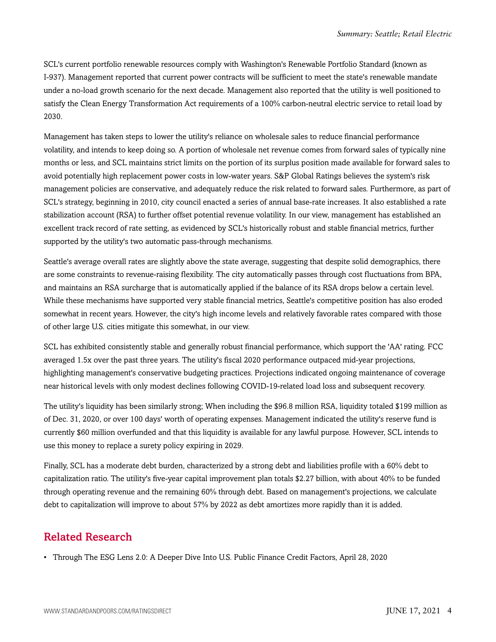SCL's current portfolio renewable resources comply with Washington's Renewable Portfolio Standard (known as I-937). Management reported that current power contracts will be sufficient to meet the state's renewable mandate under a no-load growth scenario for the next decade. Management also reported that the utility is well positioned to satisfy the Clean Energy Transformation Act requirements of a 100% carbon-neutral electric service to retail load by 2030.

Management has taken steps to lower the utility's reliance on wholesale sales to reduce financial performance volatility, and intends to keep doing so. A portion of wholesale net revenue comes from forward sales of typically nine months or less, and SCL maintains strict limits on the portion of its surplus position made available for forward sales to avoid potentially high replacement power costs in low-water years. S&P Global Ratings believes the system's risk management policies are conservative, and adequately reduce the risk related to forward sales. Furthermore, as part of SCL's strategy, beginning in 2010, city council enacted a series of annual base-rate increases. It also established a rate stabilization account (RSA) to further offset potential revenue volatility. In our view, management has established an excellent track record of rate setting, as evidenced by SCL's historically robust and stable financial metrics, further supported by the utility's two automatic pass-through mechanisms.

Seattle's average overall rates are slightly above the state average, suggesting that despite solid demographics, there are some constraints to revenue-raising flexibility. The city automatically passes through cost fluctuations from BPA, and maintains an RSA surcharge that is automatically applied if the balance of its RSA drops below a certain level. While these mechanisms have supported very stable financial metrics, Seattle's competitive position has also eroded somewhat in recent years. However, the city's high income levels and relatively favorable rates compared with those of other large U.S. cities mitigate this somewhat, in our view.

SCL has exhibited consistently stable and generally robust financial performance, which support the 'AA' rating. FCC averaged 1.5x over the past three years. The utility's fiscal 2020 performance outpaced mid-year projections, highlighting management's conservative budgeting practices. Projections indicated ongoing maintenance of coverage near historical levels with only modest declines following COVID-19-related load loss and subsequent recovery.

The utility's liquidity has been similarly strong; When including the \$96.8 million RSA, liquidity totaled \$199 million as of Dec. 31, 2020, or over 100 days' worth of operating expenses. Management indicated the utility's reserve fund is currently \$60 million overfunded and that this liquidity is available for any lawful purpose. However, SCL intends to use this money to replace a surety policy expiring in 2029.

Finally, SCL has a moderate debt burden, characterized by a strong debt and liabilities profile with a 60% debt to capitalization ratio. The utility's five-year capital improvement plan totals \$2.27 billion, with about 40% to be funded through operating revenue and the remaining 60% through debt. Based on management's projections, we calculate debt to capitalization will improve to about 57% by 2022 as debt amortizes more rapidly than it is added.

## <span id="page-3-0"></span>Related Research

• Through The ESG Lens 2.0: A Deeper Dive Into U.S. Public Finance Credit Factors, April 28, 2020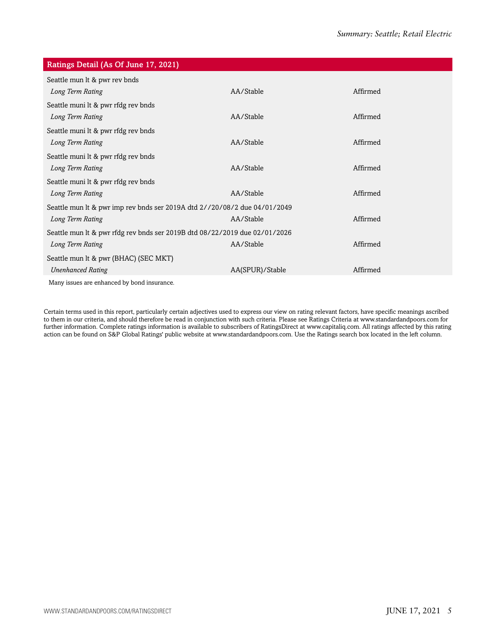| Ratings Detail (As Of June 17, 2021)                                       |                 |          |  |
|----------------------------------------------------------------------------|-----------------|----------|--|
| Seattle mun lt & pwr rev bnds                                              |                 |          |  |
| Long Term Rating                                                           | AA/Stable       | Affirmed |  |
| Seattle muni lt & pwr rfdg rev bnds                                        |                 |          |  |
| Long Term Rating                                                           | AA/Stable       | Affirmed |  |
| Seattle muni It & pwr rfdg rev bnds                                        |                 |          |  |
| Long Term Rating                                                           | AA/Stable       | Affirmed |  |
| Seattle muni lt & pwr rfdg rev bnds                                        |                 |          |  |
| Long Term Rating                                                           | AA/Stable       | Affirmed |  |
| Seattle muni lt & pwr rfdg rev bnds                                        |                 |          |  |
| Long Term Rating                                                           | AA/Stable       | Affirmed |  |
| Seattle mun lt & pwr imp rev bnds ser 2019A dtd 2//20/08/2 due 04/01/2049  |                 |          |  |
| Long Term Rating                                                           | AA/Stable       | Affirmed |  |
| Seattle mun lt & pwr rfdg rev bnds ser 2019B dtd 08/22/2019 due 02/01/2026 |                 |          |  |
| Long Term Rating                                                           | AA/Stable       | Affirmed |  |
| Seattle mun lt & pwr (BHAC) (SEC MKT)                                      |                 |          |  |
| <b>Unenhanced Rating</b>                                                   | AA(SPUR)/Stable | Affirmed |  |
| Mony icquoe are enhanced by bond inqurance                                 |                 |          |  |

Many issues are enhanced by bond insurance.

Certain terms used in this report, particularly certain adjectives used to express our view on rating relevant factors, have specific meanings ascribed to them in our criteria, and should therefore be read in conjunction with such criteria. Please see Ratings Criteria at www.standardandpoors.com for further information. Complete ratings information is available to subscribers of RatingsDirect at www.capitaliq.com. All ratings affected by this rating action can be found on S&P Global Ratings' public website at www.standardandpoors.com. Use the Ratings search box located in the left column.